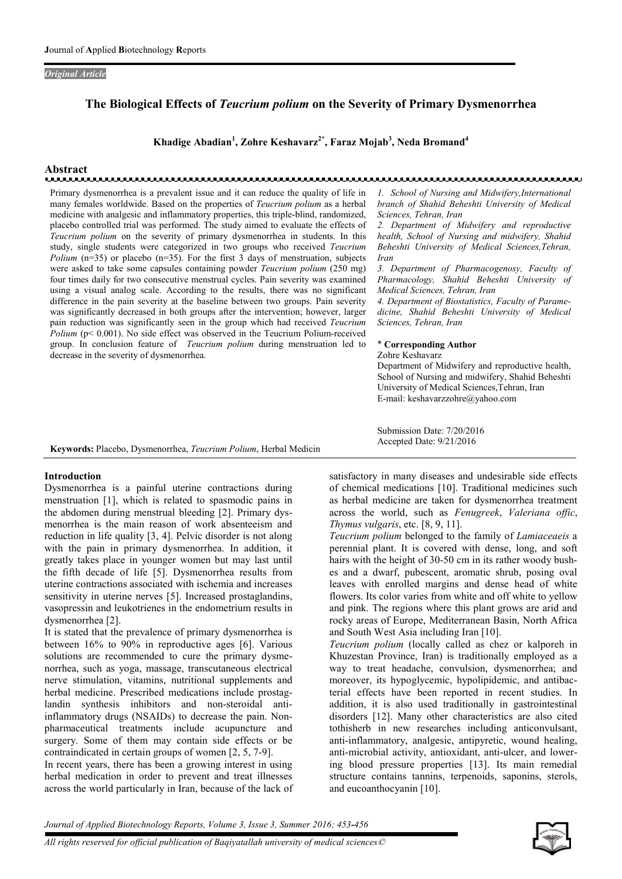#### *Original Article*

# The Biological Effects of *Teucrium polium* on the Severity of Primary Dysmenorrhea

Khadige Abadian<sup>1</sup>, Zohre Keshavarz<sup>2\*</sup>, Faraz Mojab<sup>3</sup>, Neda Bromand<sup>4</sup>

# Abstract

Primary dysmenorrhea is a prevalent issue and it can reduce the quality of life in many females worldwide. Based on the properties of *Teucrium polium* as a herbal medicine with analgesic and inflammatory properties, this triple-blind, randomized, placebo controlled trial was performed. The study aimed to evaluate the effects of *Teucrium polium* on the severity of primary dysmenorrhea in students. In this study, single students were categorized in two groups who received *Teucrium Polium* (n=35) or placebo (n=35). For the first 3 days of menstruation, subjects were asked to take some capsules containing powder *Teucrium polium* (250 mg) four times daily for two consecutive menstrual cycles. Pain severity was examined using a visual analog scale. According to the results, there was no significant difference in the pain severity at the baseline between two groups. Pain severity was significantly decreased in both groups after the intervention; however, larger pain reduction was significantly seen in the group which had received *Teucrium Polium* (p< 0.001). No side effect was observed in the Teucrium Polium-received group. In conclusion feature of *Teucrium polium* during menstruation led to decrease in the severity of dysmenorrhea.

*1. School of Nursing and Midwifery,International branch of Shahid Beheshti University of Medical Sciences, Tehran, Iran*

*2. Department of Midwifery and reproductive health, School of Nursing and midwifery, Shahid Beheshti University of Medical Sciences,Tehran, Iran*

*3. Department of Pharmacogenosy, Faculty of Pharmacology, Shahid Beheshti University of Medical Sciences, Tehran, Iran*

*4. Department of Biostatistics, Faculty of Paramedicine, Shahid Beheshti University of Medical Sciences, Tehran, Iran* 

#### \* Corresponding Author

Zohre Keshavarz Department of Midwifery and reproductive health, School of Nursing and midwifery, Shahid Beheshti University of Medical Sciences,Tehran, Iran E-mail: keshavarzzohre@yahoo.com

Submission Date: 7/20/2016 Accepted Date: 9/21/2016

Keywords: Placebo, Dysmenorrhea, *Teucrium Polium*, Herbal Medicin

# Introduction

Dysmenorrhea is a painful uterine contractions during menstruation [1], which is related to spasmodic pains in the abdomen during menstrual bleeding [2]. Primary dysmenorrhea is the main reason of work absenteeism and reduction in life quality [3, 4]. Pelvic disorder is not along with the pain in primary dysmenorrhea. In addition, it greatly takes place in younger women but may last until the fifth decade of life [5]. Dysmenorrhea results from uterine contractions associated with ischemia and increases sensitivity in uterine nerves [5]. Increased prostaglandins, vasopressin and leukotrienes in the endometrium results in dysmenorrhea [2].

It is stated that the prevalence of primary dysmenorrhea is between 16% to 90% in reproductive ages [6]. Various solutions are recommended to cure the primary dysmenorrhea, such as yoga, massage, transcutaneous electrical nerve stimulation, vitamins, nutritional supplements and herbal medicine. Prescribed medications include prostaglandin synthesis inhibitors and non-steroidal antiinflammatory drugs (NSAIDs) to decrease the pain. Nonpharmaceutical treatments include acupuncture and surgery. Some of them may contain side effects or be contraindicated in certain groups of women [2, 5, 7-9].

In recent years, there has been a growing interest in using herbal medication in order to prevent and treat illnesses across the world particularly in Iran, because of the lack of satisfactory in many diseases and undesirable side effects of chemical medications [10]. Traditional medicines such as herbal medicine are taken for dysmenorrhea treatment across the world, such as *Fenugreek*, *Valeriana offic*, *Thymus vulgaris*, etc. [8, 9, 11].

*Teucrium polium* belonged to the family of *Lamiaceaeis* a perennial plant. It is covered with dense, long, and soft hairs with the height of 30-50 cm in its rather woody bushes and a dwarf, pubescent, aromatic shrub, posing oval leaves with enrolled margins and dense head of white flowers. Its color varies from white and off white to yellow and pink. The regions where this plant grows are arid and rocky areas of Europe, Mediterranean Basin, North Africa and South West Asia including Iran [10].

*Teucrium polium* (locally called as chez or kalporeh in Khuzestan Province, Iran) is traditionally employed as a way to treat headache, convulsion, dysmenorrhea; and moreover, its hypoglycemic, hypolipidemic, and antibacterial effects have been reported in recent studies. In addition, it is also used traditionally in gastrointestinal disorders [12]. Many other characteristics are also cited tothisherb in new researches including anticonvulsant, anti-inflammatory, analgesic, antipyretic, wound healing, anti-microbial activity, antioxidant, anti-ulcer, and lowering blood pressure properties [13]. Its main remedial structure contains tannins, terpenoids, saponins, sterols, and eucoanthocyanin [10].

*Journal of Applied Biotechnology Reports, Volume 3, Issue 3, Summer 2016; 453-456*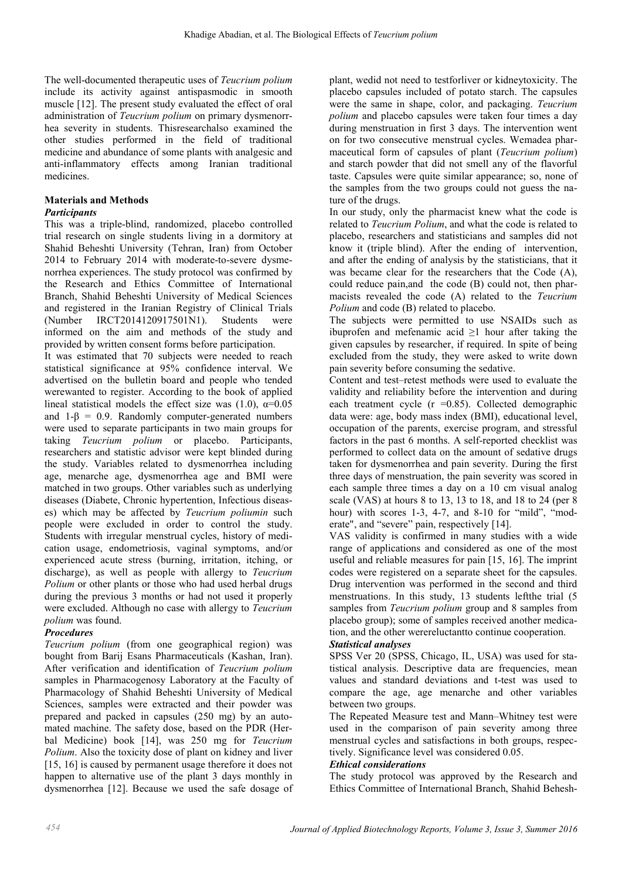The well-documented therapeutic uses of *Teucrium polium*  include its activity against antispasmodic in smooth muscle [12]. The present study evaluated the effect of oral administration of *Teucrium polium* on primary dysmenorrhea severity in students. Thisresearchalso examined the other studies performed in the field of traditional medicine and abundance of some plants with analgesic and anti-inflammatory effects among Iranian traditional medicines.

## Materials and Methods *Participants*

This was a triple-blind, randomized, placebo controlled trial research on single students living in a dormitory at Shahid Beheshti University (Tehran, Iran) from October 2014 to February 2014 with moderate-to-severe dysmenorrhea experiences. The study protocol was confirmed by the Research and Ethics Committee of International Branch, Shahid Beheshti University of Medical Sciences and registered in the Iranian Registry of Clinical Trials (Number IRCT2014120917501N1). Students were informed on the aim and methods of the study and provided by written consent forms before participation.

It was estimated that 70 subjects were needed to reach statistical significance at 95% confidence interval. We advertised on the bulletin board and people who tended werewanted to register. According to the book of applied lineal statistical models the effect size was (1.0),  $\alpha$ =0.05 and  $1-\beta = 0.9$ . Randomly computer-generated numbers were used to separate participants in two main groups for taking *Teucrium polium* or placebo. Participants, researchers and statistic advisor were kept blinded during the study. Variables related to dysmenorrhea including age, menarche age, dysmenorrhea age and BMI were matched in two groups. Other variables such as underlying diseases (Diabete, Chronic hypertention, Infectious diseases) which may be affected by *Teucrium poliumin* such people were excluded in order to control the study. Students with irregular menstrual cycles, history of medication usage, endometriosis, vaginal symptoms, and/or experienced acute stress (burning, irritation, itching, or discharge), as well as people with allergy to *Teucrium Polium* or other plants or those who had used herbal drugs during the previous 3 months or had not used it properly were excluded. Although no case with allergy to *Teucrium polium* was found.

# *Procedures*

*Teucrium polium* (from one geographical region) was bought from Barij Esans Pharmaceuticals (Kashan, Iran). After verification and identification of *Teucrium polium*  samples in Pharmacogenosy Laboratory at the Faculty of Pharmacology of Shahid Beheshti University of Medical Sciences, samples were extracted and their powder was prepared and packed in capsules (250 mg) by an automated machine. The safety dose, based on the PDR (Herbal Medicine) book [14], was 250 mg for *Teucrium Polium*. Also the toxicity dose of plant on kidney and liver [15, 16] is caused by permanent usage therefore it does not happen to alternative use of the plant 3 days monthly in dysmenorrhea [12]. Because we used the safe dosage of

plant, wedid not need to testforliver or kidneytoxicity. The placebo capsules included of potato starch. The capsules were the same in shape, color, and packaging. *Teucrium polium* and placebo capsules were taken four times a day during menstruation in first 3 days. The intervention went on for two consecutive menstrual cycles. Wemadea pharmaceutical form of capsules of plant (*Teucrium polium*) and starch powder that did not smell any of the flavorful taste. Capsules were quite similar appearance; so, none of the samples from the two groups could not guess the nature of the drugs.

In our study, only the pharmacist knew what the code is related to *Teucrium Polium*, and what the code is related to placebo, researchers and statisticians and samples did not know it (triple blind). After the ending of intervention, and after the ending of analysis by the statisticians, that it was became clear for the researchers that the Code (A), could reduce pain,and the code (B) could not, then pharmacists revealed the code (A) related to the *Teucrium Polium* and code (B) related to placebo.

The subjects were permitted to use NSAIDs such as ibuprofen and mefenamic acid  $\geq 1$  hour after taking the given capsules by researcher, if required. In spite of being excluded from the study, they were asked to write down pain severity before consuming the sedative.

Content and test–retest methods were used to evaluate the validity and reliability before the intervention and during each treatment cycle  $(r = 0.85)$ . Collected demographic data were: age, body mass index (BMI), educational level, occupation of the parents, exercise program, and stressful factors in the past 6 months. A self-reported checklist was performed to collect data on the amount of sedative drugs taken for dysmenorrhea and pain severity. During the first three days of menstruation, the pain severity was scored in each sample three times a day on a 10 cm visual analog scale (VAS) at hours 8 to 13, 13 to 18, and 18 to 24 (per 8 hour) with scores 1-3, 4-7, and 8-10 for "mild", "moderate", and "severe" pain, respectively [14].

VAS validity is confirmed in many studies with a wide range of applications and considered as one of the most useful and reliable measures for pain [15, 16]. The imprint codes were registered on a separate sheet for the capsules. Drug intervention was performed in the second and third menstruations. In this study, 13 students leftthe trial (5 samples from *Teucrium polium* group and 8 samples from placebo group); some of samples received another medication, and the other werereluctantto continue cooperation.

# *Statistical analyses*

SPSS Ver 20 (SPSS, Chicago, IL, USA) was used for statistical analysis. Descriptive data are frequencies, mean values and standard deviations and t-test was used to compare the age, age menarche and other variables between two groups.

The Repeated Measure test and Mann–Whitney test were used in the comparison of pain severity among three menstrual cycles and satisfactions in both groups, respectively. Significance level was considered 0.05.

# *Ethical considerations*

The study protocol was approved by the Research and Ethics Committee of International Branch, Shahid Behesh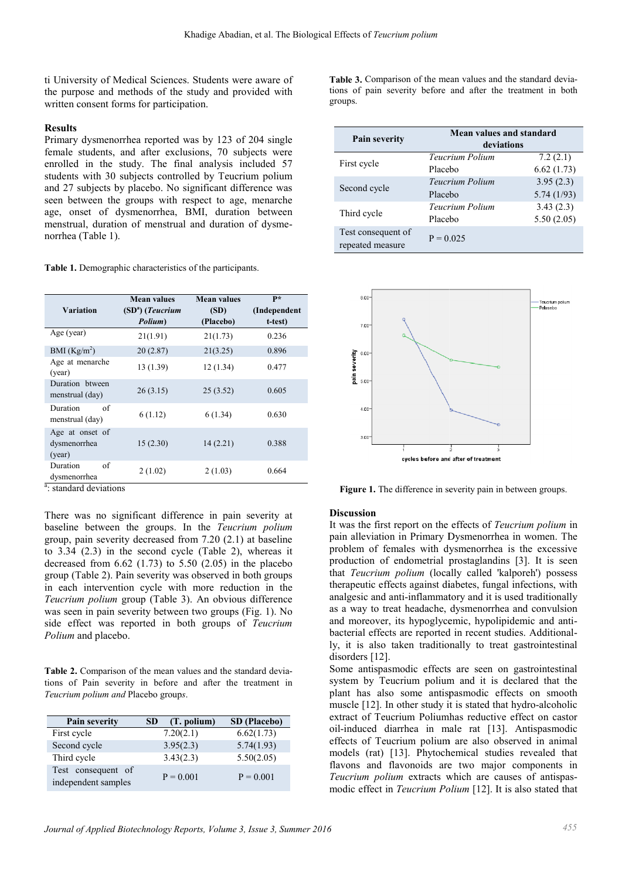ti University of Medical Sciences. Students were aware of the purpose and methods of the study and provided with written consent forms for participation.

### Results

Primary dysmenorrhea reported was by 123 of 204 single female students, and after exclusions, 70 subjects were enrolled in the study. The final analysis included 57 students with 30 subjects controlled by Teucrium polium and 27 subjects by placebo. No significant difference was seen between the groups with respect to age, menarche age, onset of dysmenorrhea, BMI, duration between menstrual, duration of menstrual and duration of dysmenorrhea (Table 1).

Table 1. Demographic characteristics of the participants.

| Variation                                 | <b>Mean values</b><br>$(SDa)$ (Teucrium<br>Polium) | <b>Mean values</b><br>(SD)<br>(Placebo) | $P*$<br>(Independent<br>t-test) |
|-------------------------------------------|----------------------------------------------------|-----------------------------------------|---------------------------------|
| Age (year)                                | 21(1.91)                                           | 21(1.73)                                | 0.236                           |
| BMI $(Kg/m2)$                             | 20(2.87)                                           | 21(3.25)                                | 0.896                           |
| Age at menarche<br>(year)                 | 13 (1.39)                                          | 12(1.34)                                | 0.477                           |
| Duration btween<br>menstrual (day)        | 26(3.15)                                           | 25(3.52)                                | 0.605                           |
| Duration<br>of<br>menstrual (day)         | 6(1.12)                                            | 6(1.34)                                 | 0.630                           |
| Age at onset of<br>dysmenorrhea<br>(year) | 15(2.30)                                           | 14(2.21)                                | 0.388                           |
| Duration<br>of<br>dysmenorrhea            | 2(1.02)                                            | 2(1.03)                                 | 0.664                           |

<sup>a</sup>: standard deviations

There was no significant difference in pain severity at baseline between the groups. In the *Teucrium polium*  group, pain severity decreased from 7.20 (2.1) at baseline to  $3.34$   $(2.3)$  in the second cycle (Table 2), whereas it decreased from  $6.62$  (1.73) to  $5.50$  (2.05) in the placebo group (Table 2). Pain severity was observed in both groups in each intervention cycle with more reduction in the *Teucrium polium* group (Table 3). An obvious difference was seen in pain severity between two groups (Fig. 1). No side effect was reported in both groups of *Teucrium Polium* and placebo. ). Pain severity was observed in both groups<br>vention cycle with more reduction in the<br>*um* group (Table 3). An obvious difference<br>in severity between two groups (Fig. 1). No

Table 2. Comparison of the mean values and the standard deviations of Pain severity in before and after the treatment in *Teucrium polium and* Placebo group*s*.

| Pain severity                             | (T. polium)<br>SD | SD (Placebo) |
|-------------------------------------------|-------------------|--------------|
| First cycle                               | 7.20(2.1)         | 6.62(1.73)   |
| Second cycle                              | 3.95(2.3)         | 5.74(1.93)   |
| Third cycle                               | 3.43(2.3)         | 5.50(2.05)   |
| Test consequent of<br>independent samples | $P = 0.001$       | $P = 0.001$  |

Table 3. Comparison of the mean values and the standard deviations of pain severity before and after the treatment in both groups.

| <b>Pain severity</b>                   | Mean values and standard<br>deviations |            |  |
|----------------------------------------|----------------------------------------|------------|--|
| First cycle                            | Teucrium Polium                        | 7.2(2.1)   |  |
|                                        | Placebo                                | 6.62(1.73) |  |
| Second cycle                           | Teucrium Polium                        | 3.95(2.3)  |  |
|                                        | Placebo                                | 5.74(1/93) |  |
| Third cycle                            | Teucrium Polium                        | 3.43(2.3)  |  |
|                                        | Placebo                                | 5.50(2.05) |  |
| Test consequent of<br>repeated measure | $P = 0.025$                            |            |  |



Figure 1. The difference in severity pain in between groups.

### **Discussion**

It was the first report on the effects of *Teucrium polium* in pain alleviation in Primary Dysmenorrhea in women. The pain alleviation in Primary Dysmenorrhea in women. The problem of females with dysmenorrhea is the excessive production of endometrial prostaglandins [3]. It is seen that *Teucrium polium* (locally called 'kalporeh') possess therapeutic effects against diabetes, fungal infections, with analgesic and anti-inflammatory and it is used traditionally as a way to treat headache, dysmenorrhea and convulsion and moreover, its hypoglycemic, hypolipidemic and ant bacterial effects are reported in recent studies. Additionally, it is also taken traditionally to treat gastrointestinal disorders [12]. lium (locally called 'kalporeh') possess<br>against diabetes, fungal infections, with<br>inflammatory and it is used traditionally<br>leadache, dysmenorrhea and convulsion<br>hypoglycemic, hypolipidemic and anti-

Some antispasmodic effects are seen on gastrointestinal ly, it is also taken traditionally to treat gastrointestinal<br>disorders [12].<br>Some antispasmodic effects are seen on gastrointestinal<br>system by Teucrium polium and it is declared that the plant has also some antispasmodic effects on smooth plant has also some antispasmodic effects on smooth muscle [12]. In other study it is stated that hydro-alcoholic extract of Teucrium Poliumhas reductive effect on castor extract of Teucrium Poliumhas reductive effect on castor oil-induced diarrhea in male rat [13]. Antispasmodic effects of Teucrium polium polium are also observed in animal models (rat) [13]. Phytochemical studies revealed that flavons and flavonoids are two major components in *Teucrium polium* extracts which are causes of antispa modic effect in *Teucrium Polium Polium* [12]. It is also stated that . Phytochemical studies revealed that<br>bonoids are two major components in<br>extracts which are causes of antispas